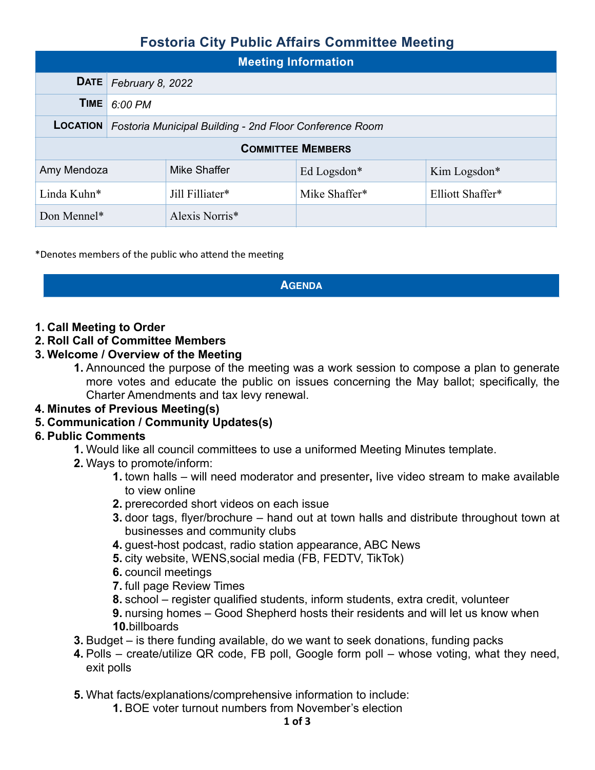## **Fostoria City Public Affairs Committee Meeting**

| <b>Meeting Information</b> |                                                                         |                 |               |                  |  |  |  |  |
|----------------------------|-------------------------------------------------------------------------|-----------------|---------------|------------------|--|--|--|--|
|                            | <b>DATE</b> February 8, 2022                                            |                 |               |                  |  |  |  |  |
| <b>TIME</b>                | 6:00 PM                                                                 |                 |               |                  |  |  |  |  |
|                            | <b>LOCATION</b> Fostoria Municipal Building - 2nd Floor Conference Room |                 |               |                  |  |  |  |  |
| <b>COMMITTEE MEMBERS</b>   |                                                                         |                 |               |                  |  |  |  |  |
| Amy Mendoza                |                                                                         | Mike Shaffer    | Ed Logsdon*   | Kim Logsdon*     |  |  |  |  |
| Linda Kuhn*                |                                                                         | Jill Filliater* | Mike Shaffer* | Elliott Shaffer* |  |  |  |  |
| Don Mennel*                |                                                                         | Alexis Norris*  |               |                  |  |  |  |  |

\*Denotes members of the public who attend the meeting

#### **AGENDA**

#### **1. Call Meeting to Order**

#### **2. Roll Call of Committee Members**

#### **3. Welcome / Overview of the Meeting**

**1.** Announced the purpose of the meeting was a work session to compose a plan to generate more votes and educate the public on issues concerning the May ballot; specifically, the Charter Amendments and tax levy renewal.

#### **4. Minutes of Previous Meeting(s)**

#### **5. Communication / Community Updates(s)**

#### **6. Public Comments**

- **1.** Would like all council committees to use a uniformed Meeting Minutes template.
- **2.** Ways to promote/inform:
	- **1.** town halls will need moderator and presenter**,** live video stream to make available to view online
	- **2.** prerecorded short videos on each issue
	- **3.** door tags, flyer/brochure hand out at town halls and distribute throughout town at businesses and community clubs
	- **4.** guest-host podcast, radio station appearance, ABC News
	- **5.** city website, WENS,social media (FB, FEDTV, TikTok)
	- **6.** council meetings
	- **7.** full page Review Times
	- **8.** school register qualified students, inform students, extra credit, volunteer

**9.** nursing homes – Good Shepherd hosts their residents and will let us know when **10.**billboards

- **3.** Budget is there funding available, do we want to seek donations, funding packs
- **4.** Polls create/utilize QR code, FB poll, Google form poll whose voting, what they need, exit polls

**5.** What facts/explanations/comprehensive information to include:

**1.** BOE voter turnout numbers from November's election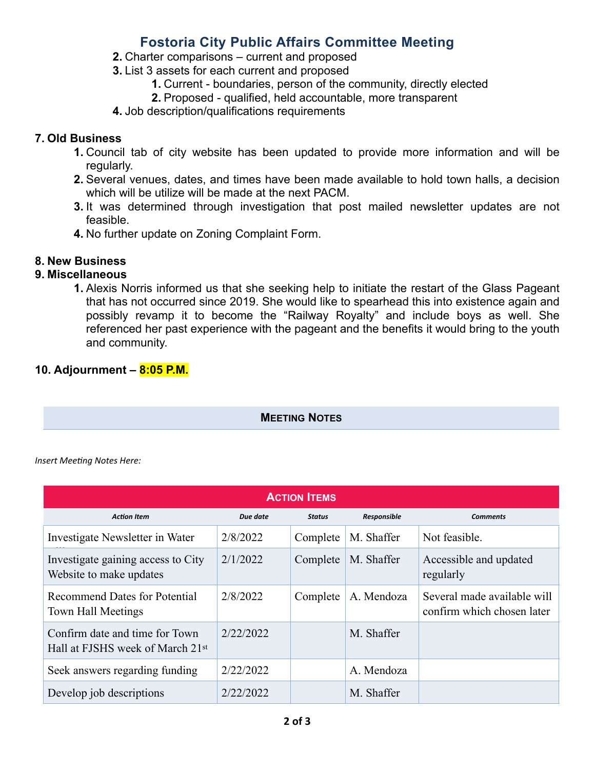## **Fostoria City Public Affairs Committee Meeting**

- **2.** Charter comparisons current and proposed
- **3.** List 3 assets for each current and proposed
	- **1.** Current boundaries, person of the community, directly elected
	- **2.** Proposed qualified, held accountable, more transparent
- **4.** Job description/qualifications requirements

#### **7. Old Business**

- **1.** Council tab of city website has been updated to provide more information and will be regularly.
- **2.** Several venues, dates, and times have been made available to hold town halls, a decision which will be utilize will be made at the next PACM.
- **3.** It was determined through investigation that post mailed newsletter updates are not feasible.
- **4.** No further update on Zoning Complaint Form.

### **8. New Business**

#### **9. Miscellaneous**

**1.** Alexis Norris informed us that she seeking help to initiate the restart of the Glass Pageant that has not occurred since 2019. She would like to spearhead this into existence again and possibly revamp it to become the "Railway Royalty" and include boys as well. She referenced her past experience with the pageant and the benefits it would bring to the youth and community.

### **10. Adjournment – 8:05 P.M.**

**MEETING NOTES**

*Insert Meeting Notes Here:*

| <b>ACTION ITEMS</b>                                                |           |               |             |                                                           |  |  |  |  |  |
|--------------------------------------------------------------------|-----------|---------------|-------------|-----------------------------------------------------------|--|--|--|--|--|
| <b>Action Item</b>                                                 | Due date  | <b>Status</b> | Responsible | <b>Comments</b>                                           |  |  |  |  |  |
| Investigate Newsletter in Water                                    | 2/8/2022  | Complete      | M. Shaffer  | Not feasible.                                             |  |  |  |  |  |
| Investigate gaining access to City<br>Website to make updates      | 2/1/2022  | Complete      | M. Shaffer  | Accessible and updated<br>regularly                       |  |  |  |  |  |
| <b>Recommend Dates for Potential</b><br>Town Hall Meetings         | 2/8/2022  | Complete      | A. Mendoza  | Several made available will<br>confirm which chosen later |  |  |  |  |  |
| Confirm date and time for Town<br>Hall at FJSHS week of March 21st | 2/22/2022 |               | M. Shaffer  |                                                           |  |  |  |  |  |
| Seek answers regarding funding                                     | 2/22/2022 |               | A. Mendoza  |                                                           |  |  |  |  |  |
| Develop job descriptions                                           | 2/22/2022 |               | M. Shaffer  |                                                           |  |  |  |  |  |